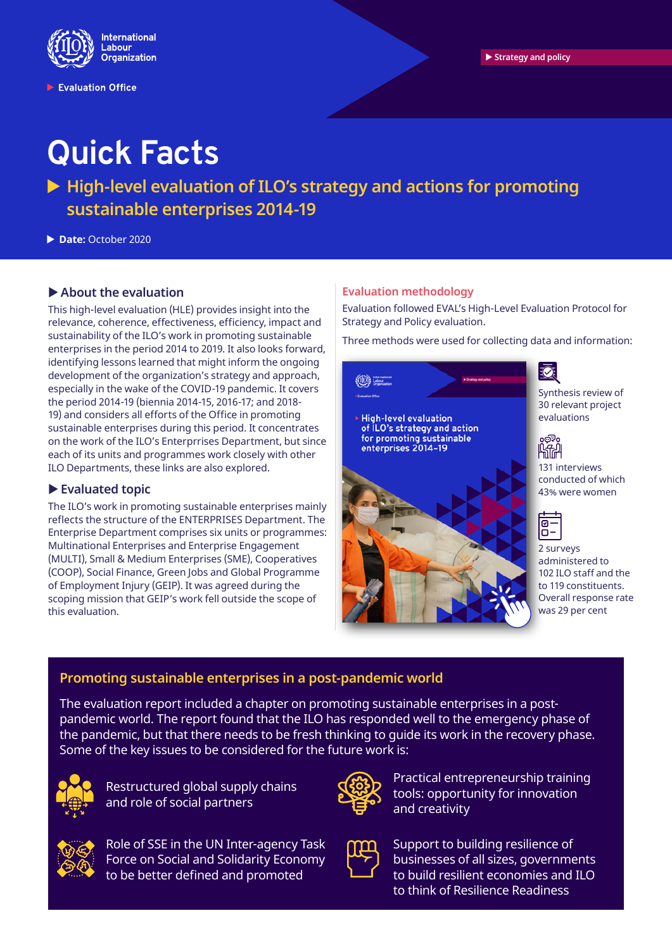

Evaluation Office

# **Quick Facts**

▶ High-level evaluation of ILO's strategy and actions for promoting **sustainable enterprises 2014-19**

X **Date:** October 2020

## **About the evaluation**

This high-level evaluation (HLE) provides insight into the relevance, coherence, effectiveness, efficiency, impact and sustainability of the ILO's work in promoting sustainable enterprises in the period 2014 to 2019. It also looks forward, identifying lessons learned that might inform the ongoing development of the organization's strategy and approach, especially in the wake of the COVID-19 pandemic. It covers the period 2014-19 (biennia 2014-15, 2016-17; and 2018- 19) and considers all efforts of the Office in promoting sustainable enterprises during this period. It concentrates on the work of the ILO's Enterprrises Department, but since each of its units and programmes work closely with other ILO Departments, these links are also explored.

### X **Evaluated topic**

The ILO's work in promoting sustainable enterprises mainly reflects the structure of the ENTERPRISES Department. The Enterprise Department comprises six units or programmes: Multinational Enterprises and Enterprise Engagement (MULTI), Small & Medium Enterprises (SME), Cooperatives (COOP), Social Finance, Green Jobs and Global Programme of Employment Injury (GEIP). It was agreed during the scoping mission that GEIP's work fell outside the scope of this evaluation.

### **Evaluation methodology**

Evaluation followed EVAL's High-Level Evaluation Protocol for Strategy and Policy evaluation.

Three methods were used for collecting data and information:



Synthesis review of 30 relevant project evaluations



131 interviews conducted of which 43% were women



2 surveys administered to 102 ILO staff and the to 119 constituents. Overall response rate was 29 per cent

# **Promoting sustainable enterprises in a post-pandemic world**

The evaluation report included a chapter on promoting sustainable enterprises in a postpandemic world. The report found that the ILO has responded well to the emergency phase of the pandemic, but that there needs to be fresh thinking to guide its work in the recovery phase. Some of the key issues to be considered for the future work is:



Restructured global supply chains and role of social partners



Role of SSE in the UN Inter-agency Task Force on Social and Solidarity Economy to be better defined and promoted



Practical entrepreneurship training tools: opportunity for innovation and creativity



Support to building resilience of businesses of all sizes, governments to build resilient economies and ILO to think of Resilience Readiness